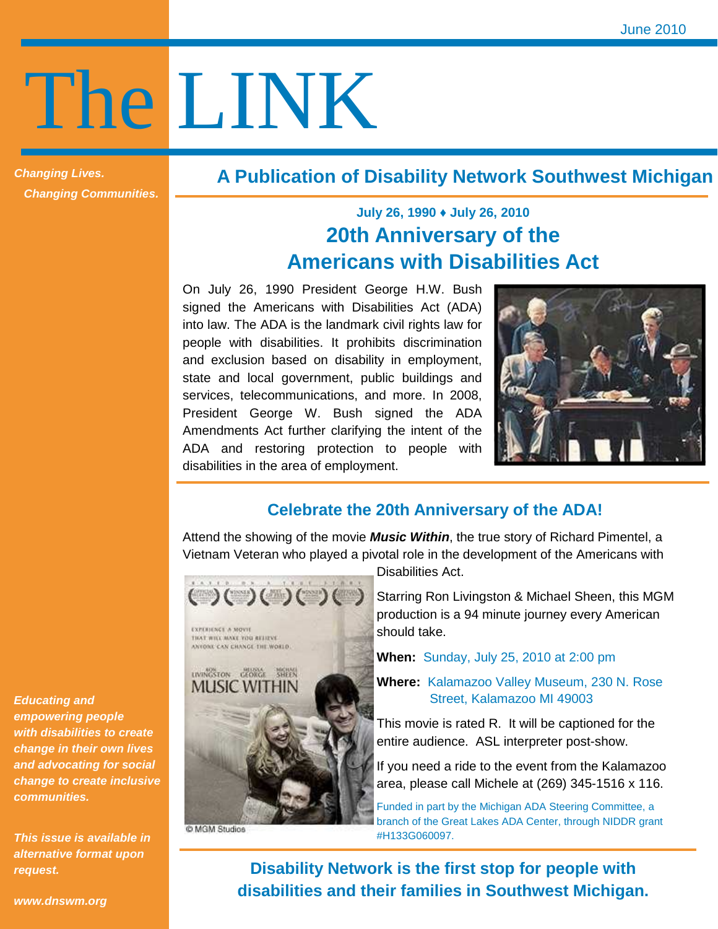# The LINK

**Changing Lives. Changing Communities.** 

### **A Publication of Disability Network Southwest Michigan**

## **July 26, 1990 ♦ July 26, 2010 20th Anniversary of the Americans with Disabilities Act**

On July 26, 1990 President George H.W. Bush signed the Americans with Disabilities Act (ADA) into law. The ADA is the landmark civil rights law for people with disabilities. It prohibits discrimination and exclusion based on disability in employment, state and local government, public buildings and services, telecommunications, and more. In 2008, President George W. Bush signed the ADA Amendments Act further clarifying the intent of the ADA and restoring protection to people with disabilities in the area of employment.



#### **Celebrate the 20th Anniversary of the ADA!**

Attend the showing of the movie **Music Within**, the true story of Richard Pimentel, a Vietnam Veteran who played a pivotal role in the development of the Americans with



TIGCE WILL MAKE YOU RELIEVE ANYONE CAN CHANGE THE WORLD.



C MGM Studios

Disabilities Act.

Starring Ron Livingston & Michael Sheen, this MGM production is a 94 minute journey every American should take.

**When:** Sunday, July 25, 2010 at 2:00 pm

**Where:** Kalamazoo Valley Museum, 230 N. Rose Street, Kalamazoo MI 49003

This movie is rated R. It will be captioned for the entire audience. ASL interpreter post-show.

If you need a ride to the event from the Kalamazoo area, please call Michele at (269) 345-1516 x 116.

Funded in part by the Michigan ADA Steering Committee, a branch of the Great Lakes ADA Center, through NIDDR grant #H133G060097.

**Disability Network is the first stop for people with disabilities and their families in Southwest Michigan.** 

**Educating and empowering people with disabilities to create change in their own lives and advocating for social change to create inclusive communities.** 

**This issue is available in alternative format upon request.**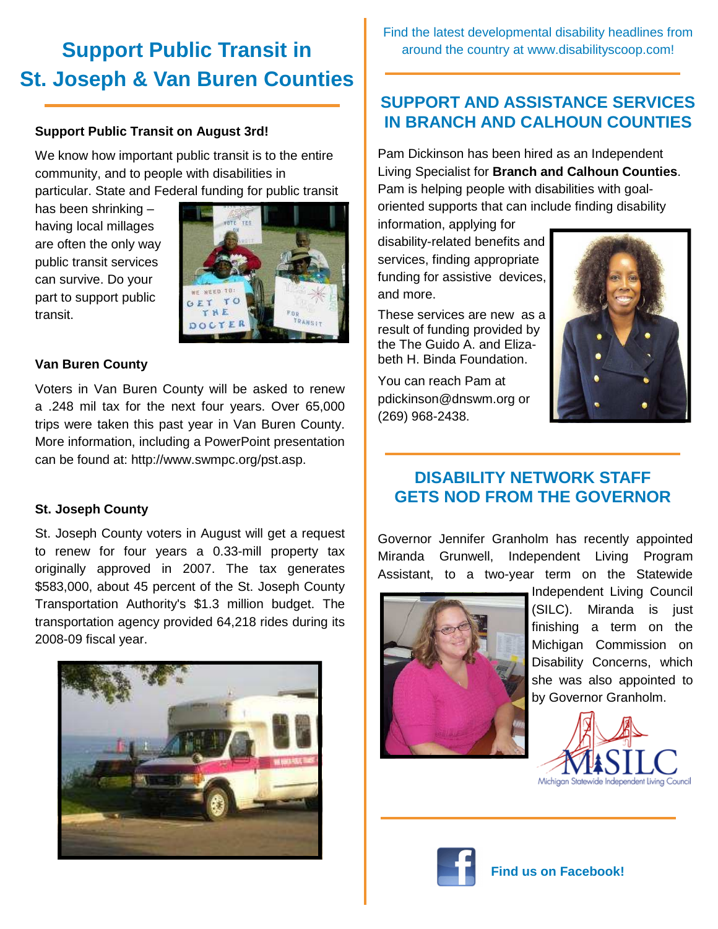# **Support Public Transit in St. Joseph & Van Buren Counties**

#### **Support Public Transit on August 3rd!**

We know how important public transit is to the entire community, and to people with disabilities in particular. State and Federal funding for public transit

has been shrinking – having local millages are often the only way public transit services can survive. Do your part to support public transit.



#### **Van Buren County**

Voters in Van Buren County will be asked to renew a .248 mil tax for the next four years. Over 65,000 trips were taken this past year in Van Buren County. More information, including a PowerPoint presentation can be found at: http://www.swmpc.org/pst.asp.

#### **St. Joseph County**

St. Joseph County voters in August will get a request to renew for four years a 0.33-mill property tax originally approved in 2007. The tax generates \$583,000, about 45 percent of the St. Joseph County Transportation Authority's \$1.3 million budget. The transportation agency provided 64,218 rides during its 2008-09 fiscal year.



Find the latest developmental disability headlines from around the country at www.disabilityscoop.com!

#### **SUPPORT AND ASSISTANCE SERVICES IN BRANCH AND CALHOUN COUNTIES**

Pam Dickinson has been hired as an Independent Living Specialist for **Branch and Calhoun Counties**. Pam is helping people with disabilities with goaloriented supports that can include finding disability

information, applying for disability-related benefits and services, finding appropriate funding for assistive devices, and more.

These services are new as a result of funding provided by the The Guido A. and Elizabeth H. Binda Foundation.

You can reach Pam at pdickinson@dnswm.org or (269) 968-2438.



#### **DISABILITY NETWORK STAFF GETS NOD FROM THE GOVERNOR**

Governor Jennifer Granholm has recently appointed Miranda Grunwell, Independent Living Program Assistant, to a two-year term on the Statewide



Independent Living Council (SILC). Miranda is just finishing a term on the Michigan Commission on Disability Concerns, which she was also appointed to by Governor Granholm.



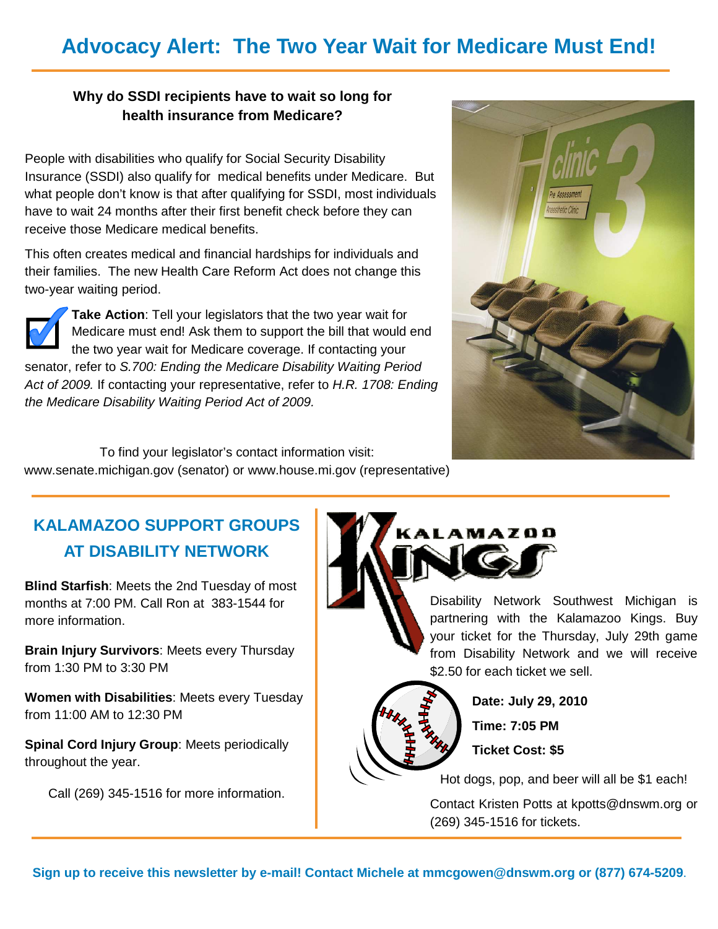## **Advocacy Alert: The Two Year Wait for Medicare Must End!**

#### **Why do SSDI recipients have to wait so long for health insurance from Medicare?**

People with disabilities who qualify for Social Security Disability Insurance (SSDI) also qualify for medical benefits under Medicare. But what people don't know is that after qualifying for SSDI, most individuals have to wait 24 months after their first benefit check before they can receive those Medicare medical benefits.

This often creates medical and financial hardships for individuals and their families. The new Health Care Reform Act does not change this two-year waiting period.



**Take Action**: Tell your legislators that the two year wait for Medicare must end! Ask them to support the bill that would end the two year wait for Medicare coverage. If contacting your senator, refer to S.700: Ending the Medicare Disability Waiting Period Act of 2009. If contacting your representative, refer to H.R. 1708: Ending the Medicare Disability Waiting Period Act of 2009.



To find your legislator's contact information visit: www.senate.michigan.gov (senator) or www.house.mi.gov (representative)

## **KALAMAZOO SUPPORT GROUPS AT DISABILITY NETWORK**

**Blind Starfish**: Meets the 2nd Tuesday of most months at 7:00 PM. Call Ron at 383-1544 for more information.

**Brain Injury Survivors**: Meets every Thursday from 1:30 PM to 3:30 PM

**Women with Disabilities**: Meets every Tuesday from 11:00 AM to 12:30 PM

**Spinal Cord Injury Group**: Meets periodically throughout the year.

Call (269) 345-1516 for more information.



partnering with the Kalamazoo Kings. Buy your ticket for the Thursday, July 29th game from Disability Network and we will receive \$2.50 for each ticket we sell.



**Date: July 29, 2010 Time: 7:05 PM Ticket Cost: \$5** 

Hot dogs, pop, and beer will all be \$1 each!

Contact Kristen Potts at kpotts@dnswm.org or (269) 345-1516 for tickets.